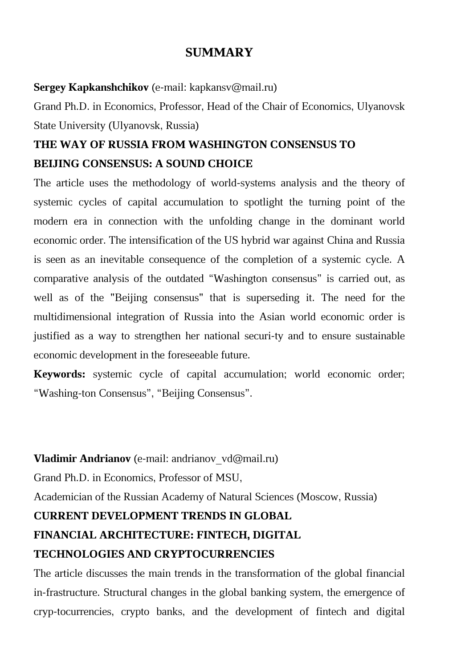## **SUMMARY**

#### **Sergey Kapkanshchikov** (e-mail: kapkansv@mail.ru)

Grand Ph.D. in Economics, Professor, Head of the Chair of Economics, Ulyanovsk State University (Ulyanovsk, Russia)

# **THE WAY OF RUSSIA FROM WASHINGTON CONSENSUS TO BEIJING CONSENSUS: A SOUND CHOICE**

The article uses the methodology of world-systems analysis and the theory of systemic cycles of capital accumulation to spotlight the turning point of the modern era in connection with the unfolding change in the dominant world economic order. The intensification of the US hybrid war against China and Russia is seen as an inevitable consequence of the completion of a systemic cycle. A comparative analysis of the outdated "Washington consensus" is carried out, as well as of the "Beijing consensus" that is superseding it. The need for the multidimensional integration of Russia into the Asian world economic order is justified as a way to strengthen her national securi-ty and to ensure sustainable economic development in the foreseeable future.

**Keywords:** systemic cycle of capital accumulation; world economic order; "Washing-ton Consensus", "Beijing Consensus".

#### **Vladimir Andrianov** (e-mail: andrianov\_vd@mail.ru)

Grand Ph.D. in Economics, Professor of MSU,

Аcademician of the Russian Academy of Natural Sciences (Moscow, Russia)

### **CURRENT DEVELOPMENT TRENDS IN GLOBAL**

### **FINANCIAL ARCHITECTURE: FINTECH, DIGITAL**

### **TECHNOLOGIES AND CRYPTOCURRENCIES**

The article discusses the main trends in the transformation of the global financial in-frastructure. Structural changes in the global banking system, the emergence of cryp-tocurrencies, crypto banks, and the development of fintech and digital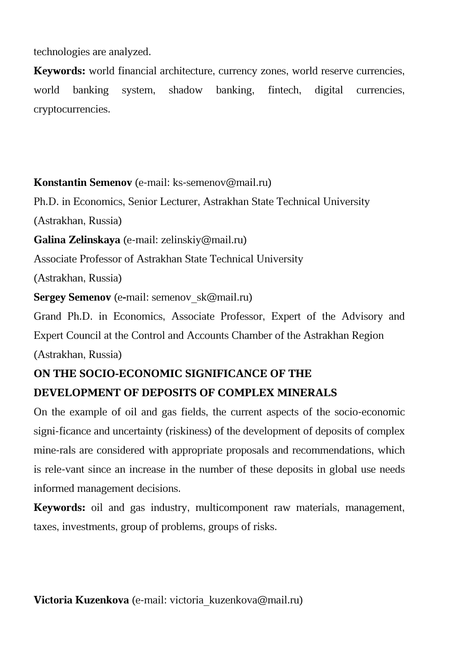technologies are analyzed.

**Keywords:** world financial architecture, currency zones, world reserve currencies, world banking system, shadow banking, fintech, digital currencies, cryptocurrencies.

**Konstantin Semenov** (e-mail: ks-semenov@mail.ru)

Ph.D. in Economics, Senior Lecturer, Astrakhan State Technical University

(Astrakhan, Russia)

**Galina Zelinskaya** (e-mail: zelinskiy@mail.ru)

Associate Professor of Astrakhan State Technical University

(Astrakhan, Russia)

**Sergey Semenov** (е**-**mail: semenov\_sk@mail.ru)

Grand Ph.D. in Economics, Associate Professor, Expert of the Advisory and Expert Council at the Control and Accounts Chamber of the Astrakhan Region (Astrakhan, Russia)

## **ON THE SOCIO-ECONOMIC SIGNIFICANCE OF THE**

## **DEVELOPMENT OF DEPOSITS OF COMPLEX MINERALS**

On the example of oil and gas fields, the current aspects of the socio-economic signi-ficance and uncertainty (riskiness) of the development of deposits of complex mine-rals are considered with appropriate proposals and recommendations, which is rele-vant since an increase in the number of these deposits in global use needs informed management decisions.

**Keywords:** oil and gas industry, multicomponent raw materials, management, taxes, investments, group of problems, groups of risks.

**Victoria Kuzenkova** (e-mail: victoria\_kuzenkova@mail.ru)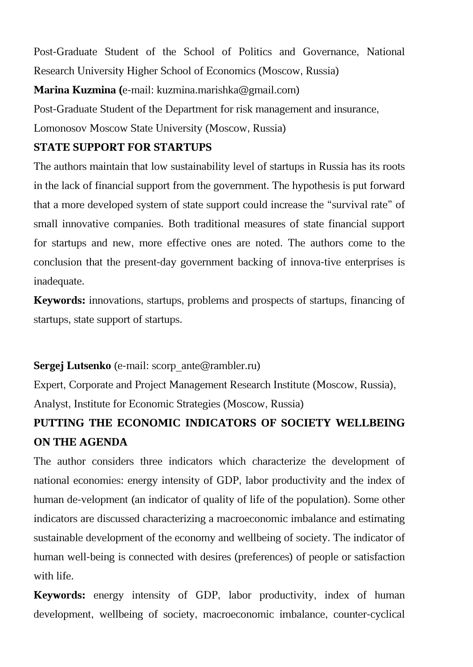Post-Graduate Student of the School of Politics and Governance, National Research University Higher School of Economics (Moscow, Russia)

**Marina Kuzmina (**e-mail: kuzmina.marishka@gmail.com)

Post-Graduate Student of the Department for risk management and insurance,

Lomonosov Moscow State University (Moscow, Russia)

### **STATE SUPPORT FOR STARTUPS**

The authors maintain that low sustainability level of startups in Russia has its roots in the lack of financial support from the government. The hypothesis is put forward that a more developed system of state support could increase the "survival rate" of small innovative companies. Both traditional measures of state financial support for startups and new, more effective ones are noted. The authors come to the conclusion that the present-day government backing of innova-tive enterprises is inadequate.

**Keywords:** innovations, startups, problems and prospects of startups, financing of startups, state support of startups.

## **Sergej Lutsenko** (e-mail: scorp\_ante@rambler.ru)

Expert, Corporate and Project Management Research Institute (Moscow, Russia), Analyst, Institute for Economic Strategies (Moscow, Russia)

# **PUTTING THE ECONOMIC INDICATORS OF SOCIETY WELLBEING ON THE AGENDA**

The author considers three indicators which characterize the development of national economies: energy intensity of GDP, labor productivity and the index of human de-velopment (an indicator of quality of life of the population). Some other indicators are discussed characterizing a macroeconomic imbalance and estimating sustainable development of the economy and wellbeing of society. The indicator of human well-being is connected with desires (preferences) of people or satisfaction with life.

**Keywords:** energy intensity of GDP, labor productivity, index of human development, wellbeing of society, macroeconomic imbalance, counter-cyclical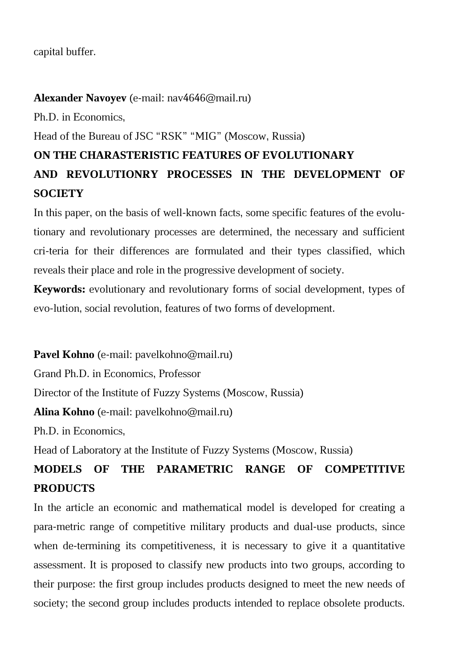#### capital buffer.

#### **Аlexander Navoyev** (е-mail: nav4646@mail.ru)

Ph.D. in Economics,

Head of the Bureau of JSC "RSK" "MIG" (Moscow, Russia)

# **ON THE CHARASTERISTIC FEATURES OF EVOLUTIONARY AND REVOLUTIONRY PROCESSES IN THE DEVELOPMENT OF SOCIETY**

In this paper, on the basis of well-known facts, some specific features of the evolutionary and revolutionary processes are determined, the necessary and sufficient cri-teria for their differences are formulated and their types classified, which reveals their place and role in the progressive development of society.

**Keywords:** evolutionary and revolutionary forms of social development, types of evo-lution, social revolution, features of two forms of development.

**Pavel Kohno** (e-mail: pavelkohno@mail.ru)

Grand Ph.D. in Economics, Professor

Director of the Institute of Fuzzy Systems (Moscow, Russia)

**Alina Kohno** (e-mail: pavelkohno@mail.ru)

Ph.D. in Economics,

Head of Laboratory at the Institute of Fuzzy Systems (Moscow, Russia)

# **MODELS OF THE PARAMETRIC RANGE OF COMPETITIVE PRODUCTS**

In the article an economic and mathematical model is developed for creating a para-metric range of competitive military products and dual-use products, since when de-termining its competitiveness, it is necessary to give it a quantitative assessment. It is proposed to classify new products into two groups, according to their purpose: the first group includes products designed to meet the new needs of society; the second group includes products intended to replace obsolete products.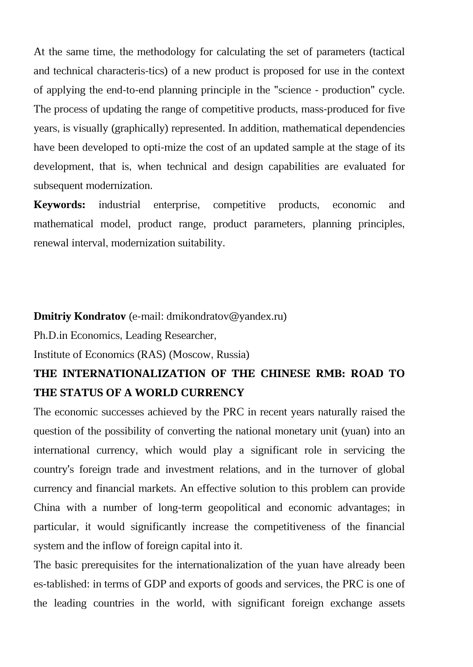At the same time, the methodology for calculating the set of parameters (tactical and technical characteris-tics) of a new product is proposed for use in the context of applying the end-to-end planning principle in the "science - production" cycle. The process of updating the range of competitive products, mass-produced for five years, is visually (graphically) represented. In addition, mathematical dependencies have been developed to opti-mize the cost of an updated sample at the stage of its development, that is, when technical and design capabilities are evaluated for subsequent modernization.

**Keywords:** industrial enterprise, competitive products, economic and mathematical model, product range, product parameters, planning principles, renewal interval, modernization suitability.

#### **Dmitriy Kondratov** (е-mail: dmikondratov@yandex.ru)

Ph.D.in Economics, Leading Researcher,

Institute of Economics (RAS) (Moscow, Russia)

## **THE INTERNATIONALIZATION OF THE CHINESE RMB: ROAD TO THE STATUS OF A WORLD CURRENCY**

The economic successes achieved by the PRC in recent years naturally raised the question of the possibility of converting the national monetary unit (yuan) into an international currency, which would play a significant role in servicing the country's foreign trade and investment relations, and in the turnover of global currency and financial markets. An effective solution to this problem can provide China with a number of long-term geopolitical and economic advantages; in particular, it would significantly increase the competitiveness of the financial system and the inflow of foreign capital into it.

The basic prerequisites for the internationalization of the yuan have already been es-tablished: in terms of GDP and exports of goods and services, the PRC is one of the leading countries in the world, with significant foreign exchange assets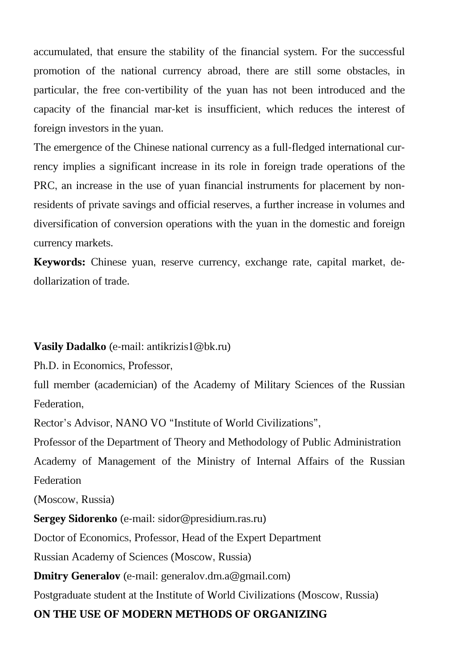accumulated, that ensure the stability of the financial system. For the successful promotion of the national currency abroad, there are still some obstacles, in particular, the free con-vertibility of the yuan has not been introduced and the capacity of the financial mar-ket is insufficient, which reduces the interest of foreign investors in the yuan.

The emergence of the Chinese national currency as a full-fledged international currency implies a significant increase in its role in foreign trade operations of the PRC, an increase in the use of yuan financial instruments for placement by nonresidents of private savings and official reserves, a further increase in volumes and diversification of conversion operations with the yuan in the domestic and foreign currency markets.

**Keywords:** Chinese yuan, reserve currency, exchange rate, capital market, dedollarization of trade.

#### **Vasily Dadalko** (e-mail: antikrizis1@bk.ru)

Ph.D. in Economics, Professor,

full member (academician) of the Academy of Military Sciences of the Russian Federation,

Rector's Advisor, NANO VO "Institute of World Civilizations",

Professor of the Department of Theory and Methodology of Public Administration Academy of Management of the Ministry of Internal Affairs of the Russian Federation

(Moscow, Russia)

**Sergey Sidorenko** (e-mail: sidor@presidium.ras.ru)

Doctor of Economics, Professor, Head of the Expert Department

Russian Academy of Sciences (Moscow, Russia)

**Dmitry Generalov** (e-mail: generalov.dm.a@gmail.com)

Postgraduate student at the Institute of World Civilizations (Moscow, Russia)

### **ON THE USE OF MODERN METHODS OF ORGANIZING**